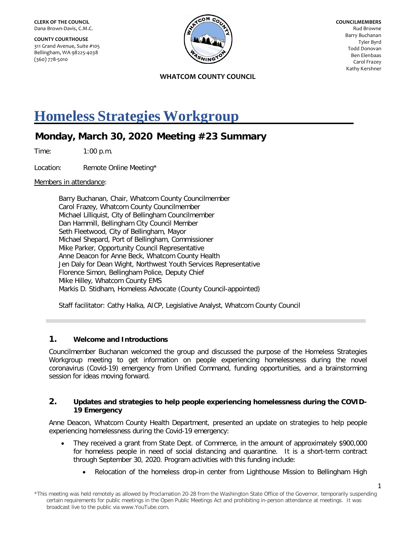**COUNTY COURTHOUSE** 311 Grand Avenue, Suite #105 Bellingham, WA 98225-4038 (360) 778-5010



**COUNCILMEMBERS** Rud Browne Barry Buchanan Tyler Byrd Todd Donovan Ben Elenbaas Carol Frazey Kathy Kershner

**WHATCOM COUNTY COUNCIL**

# **Homeless Strategies Workgroup**

## **Monday, March 30, 2020 Meeting #23 Summary**

Time: 1:00 p.m.

Location: Remote Online Meeting\*

Members in attendance:

Barry Buchanan, Chair, Whatcom County Councilmember Carol Frazey, Whatcom County Councilmember Michael Lilliquist, City of Bellingham Councilmember Dan Hammill, Bellingham City Council Member Seth Fleetwood, City of Bellingham, Mayor Michael Shepard, Port of Bellingham, Commissioner Mike Parker, Opportunity Council Representative Anne Deacon for Anne Beck, Whatcom County Health Jen Daly for Dean Wight, Northwest Youth Services Representative Florence Simon, Bellingham Police, Deputy Chief Mike Hilley, Whatcom County EMS Markis D. Stidham, Homeless Advocate (County Council-appointed)

Staff facilitator: Cathy Halka, AICP, Legislative Analyst, Whatcom County Council

### **1. Welcome and Introductions**

Councilmember Buchanan welcomed the group and discussed the purpose of the Homeless Strategies Workgroup meeting to get information on people experiencing homelessness during the novel coronavirus (Covid-19) emergency from Unified Command, funding opportunities, and a brainstorming session for ideas moving forward.

#### **2. Updates and strategies to help people experiencing homelessness during the COVID-19 Emergency**

Anne Deacon, Whatcom County Health Department, presented an update on strategies to help people experiencing homelessness during the Covid-19 emergency:

- They received a grant from State Dept. of Commerce, in the amount of approximately \$900,000 for homeless people in need of social distancing and quarantine. It is a short-term contract through September 30, 2020. Program activities with this funding include:
	- Relocation of the homeless drop-in center from Lighthouse Mission to Bellingham High

<sup>\*</sup>This meeting was held remotely as allowed by Proclamation 20-28 from the Washington State Office of the Governor, temporarily suspending certain requirements for public meetings in the Open Public Meetings Act and prohibiting in-person attendance at meetings. It was broadcast live to the public via www.YouTube.com.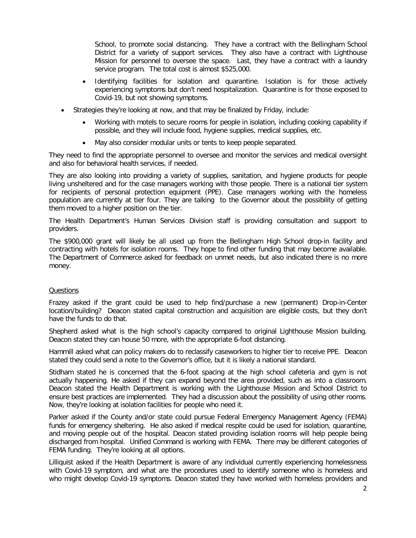School, to promote social distancing. They have a contract with the Bellingham School District for a variety of support services. They also have a contract with Lighthouse Mission for personnel to oversee the space. Last, they have a contract with a laundry service program. The total cost is almost \$525,000.

- Identifying facilities for isolation and quarantine. Isolation is for those actively experiencing symptoms but don't need hospitalization. Quarantine is for those exposed to Covid-19, but not showing symptoms.
- Strategies they're looking at now, and that may be finalized by Friday, include:
	- Working with motels to secure rooms for people in isolation, including cooking capability if possible, and they will include food, hygiene supplies, medical supplies, etc.
	- May also consider modular units or tents to keep people separated.

They need to find the appropriate personnel to oversee and monitor the services and medical oversight and also for behavioral health services, if needed.

They are also looking into providing a variety of supplies, sanitation, and hygiene products for people living unsheltered and for the case managers working with those people. There is a national tier system for recipients of personal protection equipment (PPE). Case managers working with the homeless population are currently at tier four. They are talking to the Governor about the possibility of getting them moved to a higher position on the tier.

The Health Department's Human Services Division staff is providing consultation and support to providers.

The \$900,000 grant will likely be all used up from the Bellingham High School drop-in facility and contracting with hotels for isolation rooms. They hope to find other funding that may become available. The Department of Commerce asked for feedback on unmet needs, but also indicated there is no more money.

#### **Questions**

Frazey asked if the grant could be used to help find/purchase a new (permanent) Drop-in-Center location/building? Deacon stated capital construction and acquisition are eligible costs, but they don't have the funds to do that.

Shepherd asked what is the high school's capacity compared to original Lighthouse Mission building. Deacon stated they can house 50 more, with the appropriate 6-foot distancing.

Hammill asked what can policy makers do to reclassify caseworkers to higher tier to receive PPE. Deacon stated they could send a note to the Governor's office, but it is likely a national standard.

Stidham stated he is concerned that the 6-foot spacing at the high school cafeteria and gym is not actually happening. He asked if they can expand beyond the area provided, such as into a classroom. Deacon stated the Health Department is working with the Lighthouse Mission and School District to ensure best practices are implemented. They had a discussion about the possibility of using other rooms. Now, they're looking at isolation facilities for people who need it.

Parker asked if the County and/or state could pursue Federal Emergency Management Agency (FEMA) funds for emergency sheltering. He also asked if medical respite could be used for isolation, quarantine, and moving people out of the hospital. Deacon stated providing isolation rooms will help people being discharged from hospital. Unified Command is working with FEMA. There may be different categories of FEMA funding. They're looking at all options.

Lilliquist asked if the Health Department is aware of any individual currently experiencing homelessness with Covid-19 symptom, and what are the procedures used to identify someone who is homeless and who might develop Covid-19 symptoms. Deacon stated they have worked with homeless providers and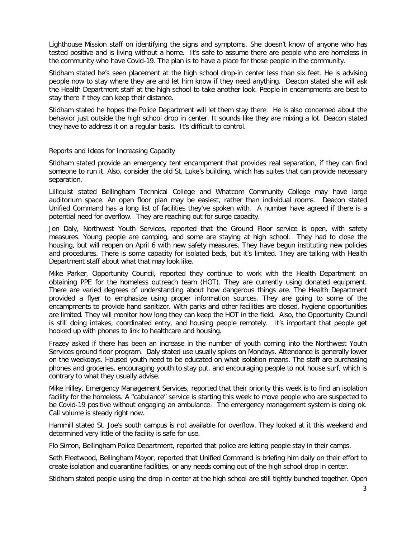Lighthouse Mission staff on identifying the signs and symptoms. She doesn't know of anyone who has tested positive and is living without a home. It's safe to assume there are people who are homeless in the community who have Covid-19. The plan is to have a place for those people in the community.

Stidham stated he's seen placement at the high school drop-in center less than six feet. He is advising people now to stay where they are and let him know if they need anything. Deacon stated she will ask the Health Department staff at the high school to take another look. People in encampments are best to stay there if they can keep their distance.

Stidham stated he hopes the Police Department will let them stay there. He is also concerned about the behavior just outside the high school drop in center. It sounds like they are mixing a lot. Deacon stated they have to address it on a regular basis. It's difficult to control.

#### Reports and Ideas for Increasing Capacity

Stidham stated provide an emergency tent encampment that provides real separation, if they can find someone to run it. Also, consider the old St. Luke's building, which has suites that can provide necessary separation.

Lilliquist stated Bellingham Technical College and Whatcom Community College may have large auditorium space. An open floor plan may be easiest, rather than individual rooms. Deacon stated Unified Command has a long list of facilities they've spoken with. A number have agreed if there is a potential need for overflow. They are reaching out for surge capacity.

Jen Daly, Northwest Youth Services, reported that the Ground Floor service is open, with safety measures. Young people are camping, and some are staying at high school. They had to close the housing, but will reopen on April 6 with new safety measures. They have begun instituting new policies and procedures. There is some capacity for isolated beds, but it's limited. They are talking with Health Department staff about what that may look like.

Mike Parker, Opportunity Council, reported they continue to work with the Health Department on obtaining PPE for the homeless outreach team (HOT). They are currently using donated equipment. There are varied degrees of understanding about how dangerous things are. The Health Department provided a flyer to emphasize using proper information sources. They are going to some of the encampments to provide hand sanitizer. With parks and other facilities are closed, hygiene opportunities are limited. They will monitor how long they can keep the HOT in the field. Also, the Opportunity Council is still doing intakes, coordinated entry, and housing people remotely. It's important that people get hooked up with phones to link to healthcare and housing.

Frazey asked if there has been an increase in the number of youth coming into the Northwest Youth Services ground floor program. Daly stated use usually spikes on Mondays. Attendance is generally lower on the weekdays. Housed youth need to be educated on what isolation means. The staff are purchasing phones and groceries, encouraging youth to stay put, and encouraging people to not house surf, which is contrary to what they usually advise.

Mike Hilley, Emergency Management Services, reported that their priority this week is to find an isolation facility for the homeless. A "cabulance" service is starting this week to move people who are suspected to be Covid-19 positive without engaging an ambulance. The emergency management system is doing ok. Call volume is steady right now.

Hammill stated St. Joe's south campus is not available for overflow. They looked at it this weekend and determined very little of the facility is safe for use.

Flo Simon, Bellingham Police Department, reported that police are letting people stay in their camps.

Seth Fleetwood, Bellingham Mayor, reported that Unified Command is briefing him daily on their effort to create isolation and quarantine facilities, or any needs coming out of the high school drop in center.

Stidham stated people using the drop in center at the high school are still tightly bunched together. Open